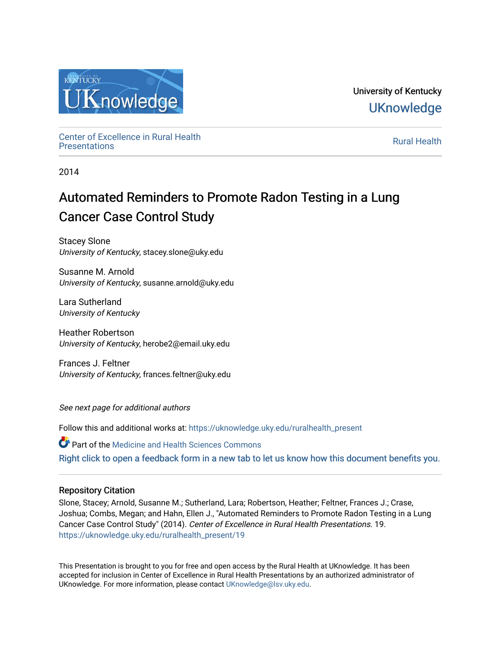

University of Kentucky **UKnowledge** 

Center of Excellence in Rural Health<br>Presentations Definer of Excellence in Kural Health<br>[Presentations](https://uknowledge.uky.edu/ruralhealth_present) **Rural Health** 

2014

# Automated Reminders to Promote Radon Testing in a Lung Cancer Case Control Study

Stacey Slone University of Kentucky, stacey.slone@uky.edu

Susanne M. Arnold University of Kentucky, susanne.arnold@uky.edu

Lara Sutherland University of Kentucky

Heather Robertson University of Kentucky, herobe2@email.uky.edu

Frances J. Feltner University of Kentucky, frances.feltner@uky.edu

See next page for additional authors

Follow this and additional works at: [https://uknowledge.uky.edu/ruralhealth\\_present](https://uknowledge.uky.edu/ruralhealth_present?utm_source=uknowledge.uky.edu%2Fruralhealth_present%2F19&utm_medium=PDF&utm_campaign=PDFCoverPages) 

Part of the [Medicine and Health Sciences Commons](http://network.bepress.com/hgg/discipline/648?utm_source=uknowledge.uky.edu%2Fruralhealth_present%2F19&utm_medium=PDF&utm_campaign=PDFCoverPages)  [Right click to open a feedback form in a new tab to let us know how this document benefits you.](https://uky.az1.qualtrics.com/jfe/form/SV_9mq8fx2GnONRfz7)

### Repository Citation

Slone, Stacey; Arnold, Susanne M.; Sutherland, Lara; Robertson, Heather; Feltner, Frances J.; Crase, Joshua; Combs, Megan; and Hahn, Ellen J., "Automated Reminders to Promote Radon Testing in a Lung Cancer Case Control Study" (2014). Center of Excellence in Rural Health Presentations. 19. [https://uknowledge.uky.edu/ruralhealth\\_present/19](https://uknowledge.uky.edu/ruralhealth_present/19?utm_source=uknowledge.uky.edu%2Fruralhealth_present%2F19&utm_medium=PDF&utm_campaign=PDFCoverPages)

This Presentation is brought to you for free and open access by the Rural Health at UKnowledge. It has been accepted for inclusion in Center of Excellence in Rural Health Presentations by an authorized administrator of UKnowledge. For more information, please contact [UKnowledge@lsv.uky.edu](mailto:UKnowledge@lsv.uky.edu).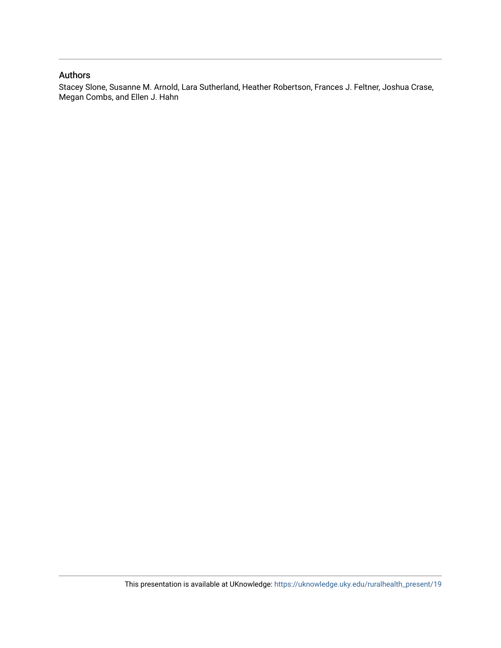#### Authors

Stacey Slone, Susanne M. Arnold, Lara Sutherland, Heather Robertson, Frances J. Feltner, Joshua Crase, Megan Combs, and Ellen J. Hahn